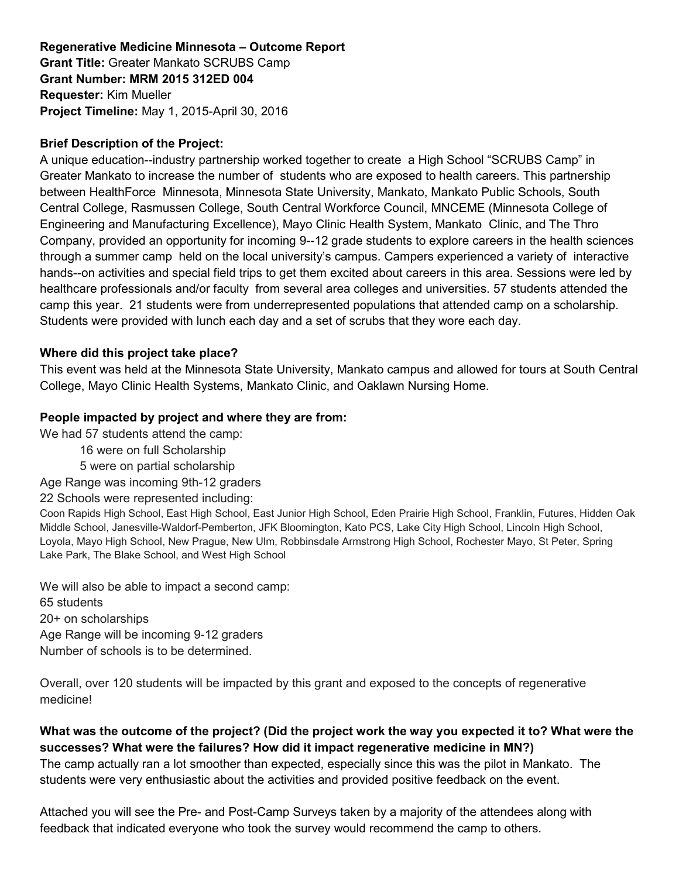# **Regenerative Medicine Minnesota – Outcome Report Grant Title:** Greater Mankato SCRUBS Camp **Grant Number: MRM 2015 312ED 004 Requester:** Kim Mueller **Project Timeline:** May 1, 2015-April 30, 2016

# **Brief Description of the Project:**

A unique education--industry partnership worked together to create a High School "SCRUBS Camp" in Greater Mankato to increase the number of students who are exposed to health careers. This partnership between HealthForce Minnesota, Minnesota State University, Mankato, Mankato Public Schools, South Central College, Rasmussen College, South Central Workforce Council, MNCEME (Minnesota College of Engineering and Manufacturing Excellence), Mayo Clinic Health System, Mankato Clinic, and The Thro Company, provided an opportunity for incoming 9--12 grade students to explore careers in the health sciences through a summer camp held on the local university's campus. Campers experienced a variety of interactive hands--on activities and special field trips to get them excited about careers in this area. Sessions were led by healthcare professionals and/or faculty from several area colleges and universities. 57 students attended the camp this year. 21 students were from underrepresented populations that attended camp on a scholarship. Students were provided with lunch each day and a set of scrubs that they wore each day.

#### **Where did this project take place?**

This event was held at the Minnesota State University, Mankato campus and allowed for tours at South Central College, Mayo Clinic Health Systems, Mankato Clinic, and Oaklawn Nursing Home.

### **People impacted by project and where they are from:**

We had 57 students attend the camp:

- 16 were on full Scholarship
- 5 were on partial scholarship

Age Range was incoming 9th-12 graders

22 Schools were represented including:

Coon Rapids High School, East High School, East Junior High School, Eden Prairie High School, Franklin, Futures, Hidden Oak Middle School, Janesville-Waldorf-Pemberton, JFK Bloomington, Kato PCS, Lake City High School, Lincoln High School, Loyola, Mayo High School, New Prague, New Ulm, Robbinsdale Armstrong High School, Rochester Mayo, St Peter, Spring Lake Park, The Blake School, and West High School

We will also be able to impact a second camp: 65 students 20+ on scholarships Age Range will be incoming 9-12 graders Number of schools is to be determined.

Overall, over 120 students will be impacted by this grant and exposed to the concepts of regenerative medicine!

**What was the outcome of the project? (Did the project work the way you expected it to? What were the successes? What were the failures? How did it impact regenerative medicine in MN?)** The camp actually ran a lot smoother than expected, especially since this was the pilot in Mankato. The students were very enthusiastic about the activities and provided positive feedback on the event.

Attached you will see the Pre- and Post-Camp Surveys taken by a majority of the attendees along with feedback that indicated everyone who took the survey would recommend the camp to others.